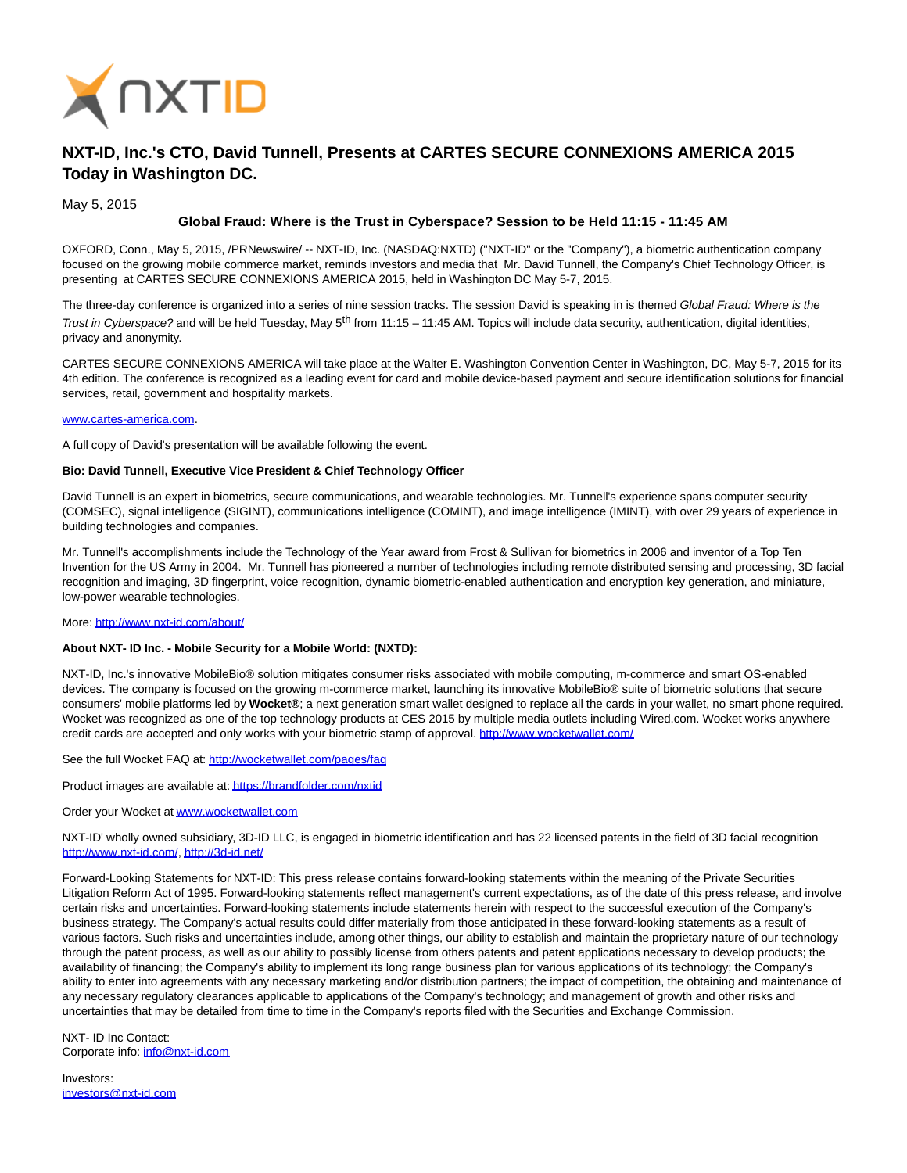

# **NXT-ID, Inc.'s CTO, David Tunnell, Presents at CARTES SECURE CONNEXIONS AMERICA 2015 Today in Washington DC.**

May 5, 2015

# **Global Fraud: Where is the Trust in Cyberspace? Session to be Held 11:15 - 11:45 AM**

OXFORD, Conn., May 5, 2015, /PRNewswire/ -- NXT-ID, Inc. (NASDAQ:NXTD) ("NXT-ID" or the "Company"), a biometric authentication company focused on the growing mobile commerce market, reminds investors and media that Mr. David Tunnell, the Company's Chief Technology Officer, is presenting at CARTES SECURE CONNEXIONS AMERICA 2015, held in Washington DC May 5-7, 2015.

The three-day conference is organized into a series of nine session tracks. The session David is speaking in is themed Global Fraud: Where is the Trust in Cyberspace? and will be held Tuesday, May  $5<sup>th</sup>$  from 11:15 – 11:45 AM. Topics will include data security, authentication, digital identities, privacy and anonymity.

CARTES SECURE CONNEXIONS AMERICA will take place at the Walter E. Washington Convention Center in Washington, DC, May 5-7, 2015 for its 4th edition. The conference is recognized as a leading event for card and mobile device-based payment and secure identification solutions for financial services, retail, government and hospitality markets.

### [www.cartes-america.com.](http://www.cartes-america.com/)

A full copy of David's presentation will be available following the event.

## **Bio: David Tunnell, Executive Vice President & Chief Technology Officer**

David Tunnell is an expert in biometrics, secure communications, and wearable technologies. Mr. Tunnell's experience spans computer security (COMSEC), signal intelligence (SIGINT), communications intelligence (COMINT), and image intelligence (IMINT), with over 29 years of experience in building technologies and companies.

Mr. Tunnell's accomplishments include the Technology of the Year award from Frost & Sullivan for biometrics in 2006 and inventor of a Top Ten Invention for the US Army in 2004. Mr. Tunnell has pioneered a number of technologies including remote distributed sensing and processing, 3D facial recognition and imaging, 3D fingerprint, voice recognition, dynamic biometric-enabled authentication and encryption key generation, and miniature, low-power wearable technologies.

### More[: http://www.nxt-id.com/about/](http://www.nxt-id.com/about/)

# **About NXT- ID Inc. - Mobile Security for a Mobile World: (NXTD):**

NXT-ID, Inc.'s innovative MobileBio® solution mitigates consumer risks associated with mobile computing, m-commerce and smart OS-enabled devices. The company is focused on the growing m-commerce market, launching its innovative MobileBio® suite of biometric solutions that secure consumers' mobile platforms led by **Wocket®**; a next generation smart wallet designed to replace all the cards in your wallet, no smart phone required. Wocket was recognized as one of the top technology products at CES 2015 by multiple media outlets including Wired.com. Wocket works anywhere credit cards are accepted and only works with your biometric stamp of approval.<http://www.wocketwallet.com/>

See the full Wocket FAQ at[: http://wocketwallet.com/pages/faq](http://wocketwallet.com/pages/faq)

Product images are available at[: https://brandfolder.com/nxtid](https://brandfolder.com/nxtid)

Order your Wocket a[t www.wocketwallet.com](http://www.wocketwallet.com/)

NXT-ID' wholly owned subsidiary, 3D-ID LLC, is engaged in biometric identification and has 22 licensed patents in the field of 3D facial recognition [http://www.nxt-id.com/,](http://www.nxt-id.com/)<http://3d-id.net/>

Forward-Looking Statements for NXT-ID: This press release contains forward-looking statements within the meaning of the Private Securities Litigation Reform Act of 1995. Forward-looking statements reflect management's current expectations, as of the date of this press release, and involve certain risks and uncertainties. Forward-looking statements include statements herein with respect to the successful execution of the Company's business strategy. The Company's actual results could differ materially from those anticipated in these forward-looking statements as a result of various factors. Such risks and uncertainties include, among other things, our ability to establish and maintain the proprietary nature of our technology through the patent process, as well as our ability to possibly license from others patents and patent applications necessary to develop products; the availability of financing; the Company's ability to implement its long range business plan for various applications of its technology; the Company's ability to enter into agreements with any necessary marketing and/or distribution partners; the impact of competition, the obtaining and maintenance of any necessary regulatory clearances applicable to applications of the Company's technology; and management of growth and other risks and uncertainties that may be detailed from time to time in the Company's reports filed with the Securities and Exchange Commission.

NXT- ID Inc Contact: Corporate info: [info@nxt-id.com](mailto:info@nxt-id.com)

Investors: [investors@nxt-id.com](mailto:investors@nxt-id.com)